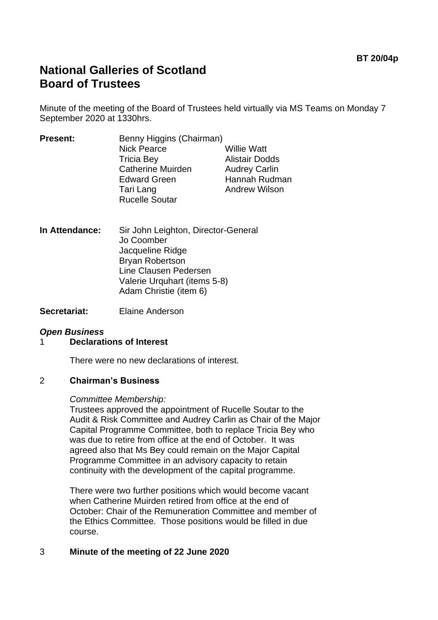# **National Galleries of Scotland Board of Trustees**

Minute of the meeting of the Board of Trustees held virtually via MS Teams on Monday 7 September 2020 at 1330hrs.

| <b>Alistair Dodds</b> |
|-----------------------|
| <b>Audrey Carlin</b>  |
| Hannah Rudman         |
| <b>Andrew Wilson</b>  |
|                       |
|                       |

- **In Attendance:** Sir John Leighton, Director-General Jo Coomber Jacqueline Ridge Bryan Robertson Line Clausen Pedersen Valerie Urquhart (items 5-8) Adam Christie (item 6)
- **Secretariat:** Elaine Anderson

## *Open Business*

## 1 **Declarations of Interest**

There were no new declarations of interest.

#### 2 **Chairman's Business**

#### *Committee Membership:*

Trustees approved the appointment of Rucelle Soutar to the Audit & Risk Committee and Audrey Carlin as Chair of the Major Capital Programme Committee, both to replace Tricia Bey who was due to retire from office at the end of October. It was agreed also that Ms Bey could remain on the Major Capital Programme Committee in an advisory capacity to retain continuity with the development of the capital programme.

There were two further positions which would become vacant when Catherine Muirden retired from office at the end of October: Chair of the Remuneration Committee and member of the Ethics Committee. Those positions would be filled in due course.

## 3 **Minute of the meeting of 22 June 2020**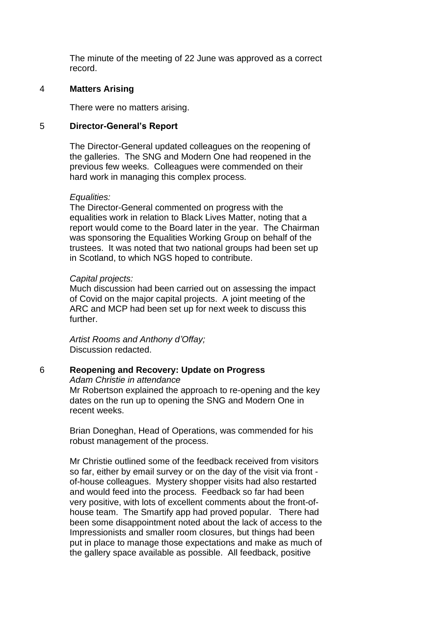The minute of the meeting of 22 June was approved as a correct record.

#### 4 **Matters Arising**

There were no matters arising.

#### 5 **Director-General's Report**

The Director-General updated colleagues on the reopening of the galleries. The SNG and Modern One had reopened in the previous few weeks. Colleagues were commended on their hard work in managing this complex process.

#### *Equalities:*

The Director-General commented on progress with the equalities work in relation to Black Lives Matter, noting that a report would come to the Board later in the year. The Chairman was sponsoring the Equalities Working Group on behalf of the trustees. It was noted that two national groups had been set up in Scotland, to which NGS hoped to contribute.

#### *Capital projects:*

Much discussion had been carried out on assessing the impact of Covid on the major capital projects. A joint meeting of the ARC and MCP had been set up for next week to discuss this further.

*Artist Rooms and Anthony d'Offay;* Discussion redacted.

## 6 **Reopening and Recovery: Update on Progress**

*Adam Christie in attendance*

Mr Robertson explained the approach to re-opening and the key dates on the run up to opening the SNG and Modern One in recent weeks.

Brian Doneghan, Head of Operations, was commended for his robust management of the process.

Mr Christie outlined some of the feedback received from visitors so far, either by email survey or on the day of the visit via front of-house colleagues. Mystery shopper visits had also restarted and would feed into the process. Feedback so far had been very positive, with lots of excellent comments about the front-ofhouse team. The Smartify app had proved popular. There had been some disappointment noted about the lack of access to the Impressionists and smaller room closures, but things had been put in place to manage those expectations and make as much of the gallery space available as possible. All feedback, positive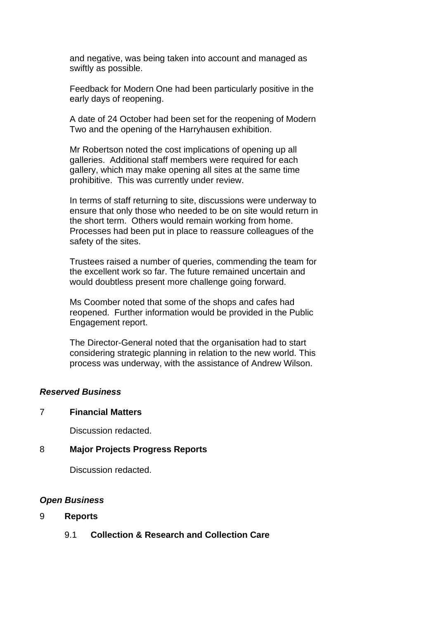and negative, was being taken into account and managed as swiftly as possible.

Feedback for Modern One had been particularly positive in the early days of reopening.

A date of 24 October had been set for the reopening of Modern Two and the opening of the Harryhausen exhibition.

Mr Robertson noted the cost implications of opening up all galleries. Additional staff members were required for each gallery, which may make opening all sites at the same time prohibitive. This was currently under review.

In terms of staff returning to site, discussions were underway to ensure that only those who needed to be on site would return in the short term. Others would remain working from home. Processes had been put in place to reassure colleagues of the safety of the sites.

Trustees raised a number of queries, commending the team for the excellent work so far. The future remained uncertain and would doubtless present more challenge going forward.

Ms Coomber noted that some of the shops and cafes had reopened. Further information would be provided in the Public Engagement report.

The Director-General noted that the organisation had to start considering strategic planning in relation to the new world. This process was underway, with the assistance of Andrew Wilson.

## *Reserved Business*

## 7 **Financial Matters**

Discussion redacted.

## 8 **Major Projects Progress Reports**

Discussion redacted.

## *Open Business*

## 9 **Reports**

9.1 **Collection & Research and Collection Care**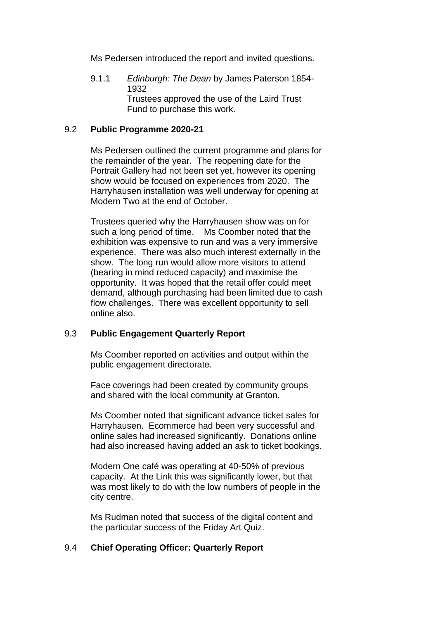Ms Pedersen introduced the report and invited questions.

9.1.1 *Edinburgh: The Dean* by James Paterson 1854- 1932 Trustees approved the use of the Laird Trust Fund to purchase this work.

#### 9.2 **Public Programme 2020-21**

Ms Pedersen outlined the current programme and plans for the remainder of the year. The reopening date for the Portrait Gallery had not been set yet, however its opening show would be focused on experiences from 2020. The Harryhausen installation was well underway for opening at Modern Two at the end of October.

Trustees queried why the Harryhausen show was on for such a long period of time. Ms Coomber noted that the exhibition was expensive to run and was a very immersive experience. There was also much interest externally in the show. The long run would allow more visitors to attend (bearing in mind reduced capacity) and maximise the opportunity. It was hoped that the retail offer could meet demand, although purchasing had been limited due to cash flow challenges. There was excellent opportunity to sell online also.

## 9.3 **Public Engagement Quarterly Report**

Ms Coomber reported on activities and output within the public engagement directorate.

Face coverings had been created by community groups and shared with the local community at Granton.

Ms Coomber noted that significant advance ticket sales for Harryhausen. Ecommerce had been very successful and online sales had increased significantly. Donations online had also increased having added an ask to ticket bookings.

Modern One café was operating at 40-50% of previous capacity. At the Link this was significantly lower, but that was most likely to do with the low numbers of people in the city centre.

Ms Rudman noted that success of the digital content and the particular success of the Friday Art Quiz.

## 9.4 **Chief Operating Officer: Quarterly Report**